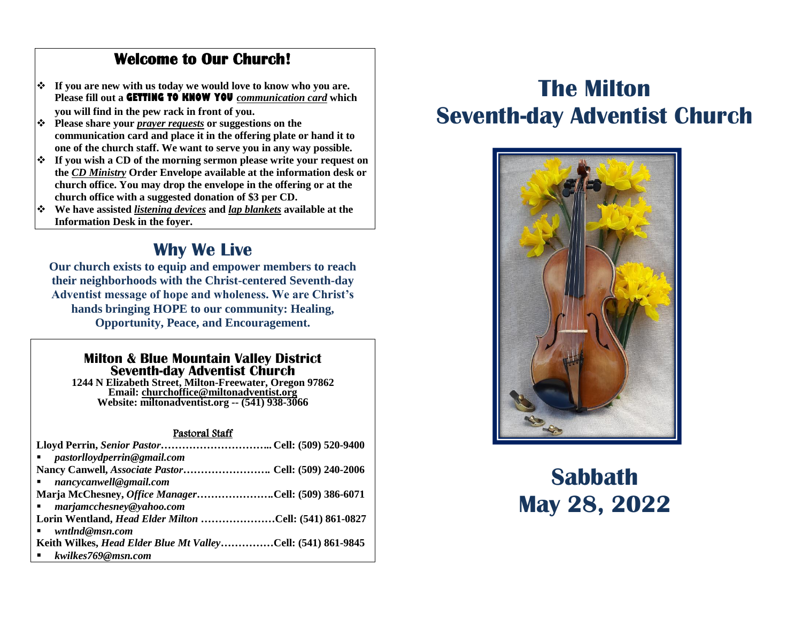### **Welcome to Our Church!**

- **If you are new with us today we would love to know who you are. Please fill out a GETTING TO KNOW YOU** *communication card* **which you will find in the pew rack in front of you.**
- **Please share your** *prayer requests* **or suggestions on the communication card and place it in the offering plate or hand it to one of the church staff. We want to serve you in any way possible.**
- **If you wish a CD of the morning sermon please write your request on the** *CD Ministry* **Order Envelope available at the information desk or church office. You may drop the envelope in the offering or at the church office with a suggested donation of \$3 per CD.**
- **We have assisted** *listening devices* **and** *lap blankets* **available at the Information Desk in the foyer.**

### **Why We Live**

**Our church exists to equip and empower members to reach their neighborhoods with the Christ-centered Seventh-day Adventist message of hope and wholeness. We are Christ's hands bringing HOPE to our community: Healing, Opportunity, Peace, and Encouragement.**

### **Milton & Blue Mountain Valley District Seventh-day Adventist Church**

**1244 N Elizabeth Street, Milton-Freewater, Oregon 97862 Email: [churchoffice@miltonadventist.org](mailto:churchoffice@miltonadventist.org) Website: miltonadventist.org -- (541) 938-3066**

### Pastoral Staff

| $\blacksquare$ pastorlloydperrin@gmail.com                      |  |
|-----------------------------------------------------------------|--|
| Nancy Canwell, <i>Associate Pastor</i> Cell: (509) 240-2006     |  |
| $\blacksquare$ nancycanwell@gmail.com                           |  |
| Marja McChesney, Office ManagerCell: (509) 386-6071             |  |
| ■ marjamcchesney@yahoo.com                                      |  |
| Lorin Wentland, <i>Head Elder Milton </i> .Cell: (541) 861-0827 |  |
| wntlnd@msn.com                                                  |  |
| Keith Wilkes, Head Elder Blue Mt ValleyCell: (541) 861-9845     |  |
| ■ kwilkes769@msn.com                                            |  |

## **The Milton Seventh-day Adventist Church**



# **Sabbath May 28, 2022**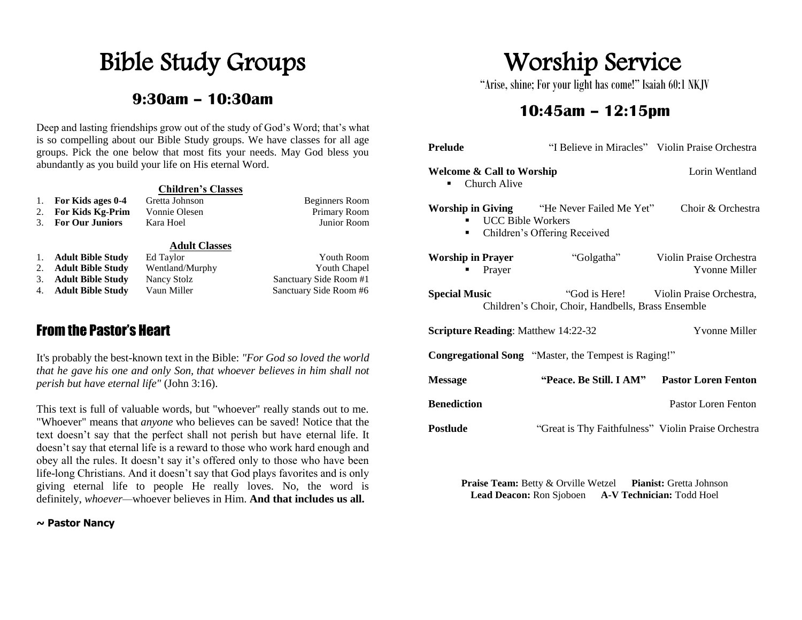# Bible Study Groups

### **9:30am – 10:30am**

Deep and lasting friendships grow out of the study of God's Word; that's what is so compelling about our Bible Study groups. We have classes for all age groups. Pick the one below that most fits your needs. May God bless you abundantly as you build your life on His eternal Word.

|    |                          | <b>Children's Classes</b> |                        |
|----|--------------------------|---------------------------|------------------------|
| 1. | For Kids ages 0-4        | Gretta Johnson            | <b>Beginners Room</b>  |
| 2. | <b>For Kids Kg-Prim</b>  | Vonnie Olesen             | Primary Room           |
| 3. | <b>For Our Juniors</b>   | Kara Hoel                 | Junior Room            |
|    |                          | <b>Adult Classes</b>      |                        |
| 1. | <b>Adult Bible Study</b> | Ed Taylor                 | <b>Youth Room</b>      |
| 2. | <b>Adult Bible Study</b> | Wentland/Murphy           | <b>Youth Chapel</b>    |
| 3. | <b>Adult Bible Study</b> | Nancy Stolz               | Sanctuary Side Room #1 |
| 4. | <b>Adult Bible Study</b> | Vaun Miller               | Sanctuary Side Room #6 |

### From the Pastor's Heart

It's probably the best-known text in the Bible: *"For God so loved the world that he gave his one and only Son, that whoever believes in him shall not perish but have eternal life"* (John 3:16).

This text is full of valuable words, but "whoever" really stands out to me. "Whoever" means that *anyone* who believes can be saved! Notice that the text doesn't say that the perfect shall not perish but have eternal life. It doesn't say that eternal life is a reward to those who work hard enough and obey all the rules. It doesn't say it's offered only to those who have been life-long Christians. And it doesn't say that God plays favorites and is only giving eternal life to people He really loves. No, the word is definitely, *whoever—*whoever believes in Him. **And that includes us all.**

#### **~ Pastor Nancy**

# Worship Service

"Arise, shine; For your light has come!" Isaiah 60:1 NKJV

### **10:45am – 12:15pm**

| <b>Prelude</b>                                                     |                                                                                    | "I Believe in Miracles" Violin Praise Orchestra |  |
|--------------------------------------------------------------------|------------------------------------------------------------------------------------|-------------------------------------------------|--|
| <b>Welcome &amp; Call to Worship</b><br>Church Alive               |                                                                                    | Lorin Wentland                                  |  |
| <b>UCC Bible Workers</b><br>٠                                      | <b>Worship in Giving "</b> He Never Failed Me Yet"<br>Children's Offering Received | Choir & Orchestra                               |  |
| <b>Worship in Prayer</b><br>Prayer                                 | "Golgatha"                                                                         | Violin Praise Orchestra<br>Yvonne Miller        |  |
| <b>Special Music</b>                                               | Children's Choir, Choir, Handbells, Brass Ensemble                                 | "God is Here! Violin Praise Orchestra,          |  |
| <b>Yvonne Miller</b><br><b>Scripture Reading:</b> Matthew 14:22-32 |                                                                                    |                                                 |  |
| <b>Congregational Song</b> "Master, the Tempest is Raging!"        |                                                                                    |                                                 |  |
| <b>Message</b>                                                     | <b>"Peace. Be Still. I AM"</b>                                                     | <b>Pastor Loren Fenton</b>                      |  |
| <b>Benediction</b>                                                 |                                                                                    | Pastor Loren Fenton                             |  |
| <b>Postlude</b>                                                    | "Great is Thy Faithfulness" Violin Praise Orchestra                                |                                                 |  |

**Praise Team:** Betty & Orville Wetzel **Pianist:** Gretta Johnson **Lead Deacon:** Ron Sjoboen **A-V Technician:** Todd Hoel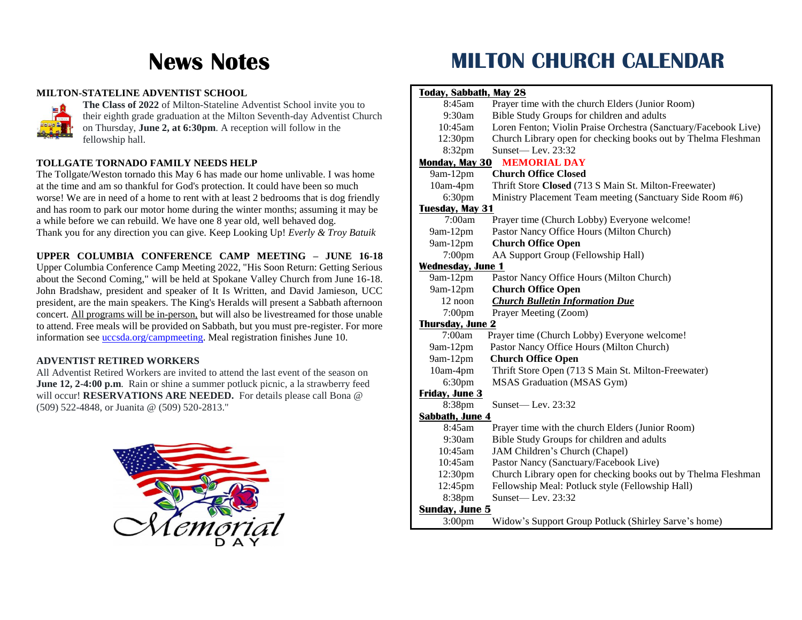## **News Notes**

#### **MILTON-STATELINE ADVENTIST SCHOOL**



**The Class of 2022** of Milton-Stateline Adventist School invite you to their eighth grade graduation at the Milton Seventh-day Adventist Church on Thursday, **June 2, at 6:30pm**. A reception will follow in the fellowship hall.

#### **TOLLGATE TORNADO FAMILY NEEDS HELP**

The Tollgate/Weston tornado this May 6 has made our home unlivable. I was home at the time and am so thankful for God's protection. It could have been so much worse! We are in need of a home to rent with at least 2 bedrooms that is dog friendly and has room to park our motor home during the winter months; assuming it may be a while before we can rebuild. We have one 8 year old, well behaved dog. Thank you for any direction you can give. Keep Looking Up! *Everly & Troy Batuik*

**UPPER COLUMBIA CONFERENCE CAMP MEETING – JUNE 16-18** Upper Columbia Conference Camp Meeting 2022, "His Soon Return: Getting Serious about the Second Coming," will be held at Spokane Valley Church from June 16-18. John Bradshaw, president and speaker of It Is Written, and David Jamieson, UCC president, are the main speakers. The King's Heralds will present a Sabbath afternoon concert. All programs will be in-person, but will also be livestreamed for those unable to attend. Free meals will be provided on Sabbath, but you must pre-register. For more information see [uccsda.org/campmeeting.](https://uccsda.us9.list-manage.com/track/click?u=835b280574dbed77db94a4f02&id=744d872d32&e=266c4e8326) Meal registration finishes June 10.

### **ADVENTIST RETIRED WORKERS**

All Adventist Retired Workers are invited to attend the last event of the season on **June 12, 2-4:00 p.m.** Rain or shine a summer potluck picnic, a la strawberry feed will occur! **RESERVATIONS ARE NEEDED.** For details please call Bona @ (509) 522-4848, or Juanita @ (509) 520-2813."



## **MILTON CHURCH CALENDAR**

| <b>Today, Sabbath, May 28</b> |                                                                 |  |
|-------------------------------|-----------------------------------------------------------------|--|
| 8:45am                        | Prayer time with the church Elders (Junior Room)                |  |
| 9:30am                        | Bible Study Groups for children and adults                      |  |
| 10:45am                       | Loren Fenton; Violin Praise Orchestra (Sanctuary/Facebook Live) |  |
| 12:30pm                       | Church Library open for checking books out by Thelma Fleshman   |  |
| 8:32pm                        | Sunset-Lev. 23:32                                               |  |
|                               | <b>Monday, May 30 MEMORIAL DAY</b>                              |  |
| 9am-12pm                      | <b>Church Office Closed</b>                                     |  |
| 10am-4pm                      | Thrift Store Closed (713 S Main St. Milton-Freewater)           |  |
| 6:30pm                        | Ministry Placement Team meeting (Sanctuary Side Room #6)        |  |
| <b>Tuesday, May 31</b>        |                                                                 |  |
| 7:00am                        | Prayer time (Church Lobby) Everyone welcome!                    |  |
| $9am-12pm$                    | Pastor Nancy Office Hours (Milton Church)                       |  |
| 9am-12pm                      | <b>Church Office Open</b>                                       |  |
| $7:00$ pm                     | AA Support Group (Fellowship Hall)                              |  |
| <b>Wednesday, June 1</b>      |                                                                 |  |
| 9am-12pm                      | Pastor Nancy Office Hours (Milton Church)                       |  |
| $9am-12pm$                    | <b>Church Office Open</b>                                       |  |
| 12 noon                       | <b>Church Bulletin Information Due</b>                          |  |
| $7:00$ pm                     | Prayer Meeting (Zoom)                                           |  |
| <b>Thursday, June 2</b>       |                                                                 |  |
| 7:00am                        | Prayer time (Church Lobby) Everyone welcome!                    |  |
| 9am-12pm                      | Pastor Nancy Office Hours (Milton Church)                       |  |
| $9am-12pm$                    | <b>Church Office Open</b>                                       |  |
| 10am-4pm                      | Thrift Store Open (713 S Main St. Milton-Freewater)             |  |
| 6:30 <sub>pm</sub>            | MSAS Graduation (MSAS Gym)                                      |  |
| <b>Friday, June 3</b>         |                                                                 |  |
| 8:38pm                        | Sunset—Lev. $23:32$                                             |  |
| <b>Sabbath, June 4</b>        |                                                                 |  |
| $8:45$ am                     | Prayer time with the church Elders (Junior Room)                |  |
| 9:30am                        | Bible Study Groups for children and adults                      |  |
| 10:45am                       | JAM Children's Church (Chapel)                                  |  |
| 10:45am                       | Pastor Nancy (Sanctuary/Facebook Live)                          |  |
| 12:30pm                       | Church Library open for checking books out by Thelma Fleshman   |  |
| 12:45pm                       | Fellowship Meal: Potluck style (Fellowship Hall)                |  |
| 8:38pm                        | Sunset-Lev. 23:32                                               |  |
| <b>Sunday, June 5</b>         |                                                                 |  |
| 3:00 <sub>pm</sub>            | Widow's Support Group Potluck (Shirley Sarve's home)            |  |